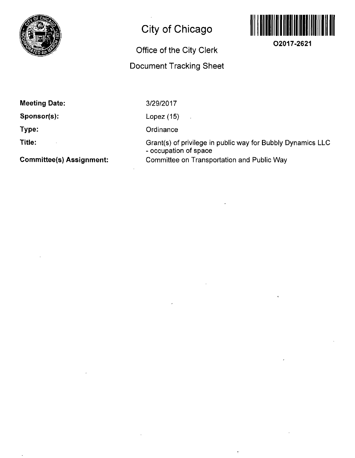

# **City of Chicago**

### **Office of the City Clerk**

## **Document Tracking Sheet**



**O2017-2621** 

**Meeting Date:** 

**Sponsor(s):** 

**Type:** 

**Title:** 

**Committee(s) Assignment:** 

3/29/2017

Lopez (15)

**Ordinance** 

Grant(s) of privilege in public way for Bubbly Dynamics LLC - occupation of space Committee on Transportation and Public Way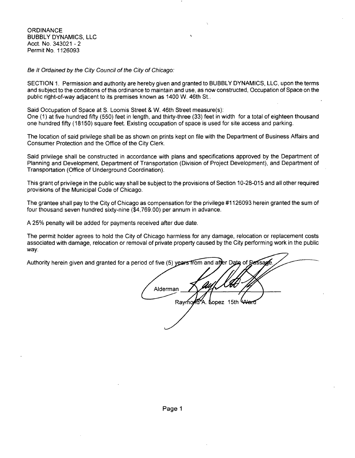**ORDINANCE** BUBBLY DYNAMICS, LLC Acct. No. 343021 - 2 Permit No. 1126093

Be It Ordained by the City Council of the City of Chicago:

SECTION 1. Permission and authority are hereby given and granted to BUBBLY DYNAMICS, LLC, upon the terms and subject to the conditions of this ordinance to maintain and use, as now constructed. Occupation of Space on the public right-of-way adjacent to its premises known as 1400 W. 46th St..

Said Occupation of Space at 8. Loomis Street & W. 46th Street measure(s): One (1) at five hundred fifty (550) feet in length, and thirty-three (33) feet in width for a total of eighteen thousand one hundred fifty (18150) square feet. Existing occupation of space is used for site access and parking.

The location of said privilege shall be as shown on prints kept on file with the Department of Business Affairs and Consumer Protection and the Office of the City Clerk.

Said privilege shall be constructed in accordance with plans and specifications approved by the Department of Planning and Development, Department of Transportation (Division of Project Development), and Department of Transportation (Office of Underground Coordination).

This grant of privilege in the public way shall be subject to the provisions of Section 10-28-015 and all other required provisions of the Municipal Code of Chicago.

The grantee shall pay to the City of Chicago as compensation for the privilege #1126093 herein granted the sum of four thousand seven hundred sixty-nine (\$4,769.00) per annum in advance.

A 25% penalty will be added for payments received after due date.

The permit holder agrees to hold the City of Chicago harmless for any damage, relocation or replacement costs associated with damage, relocation or removal of private property caused by the City performing work in the public way.

er Date of Berssan Authority herein given and granted for a period of five (5) years from and af Alderman Raymond A. Lopez 15th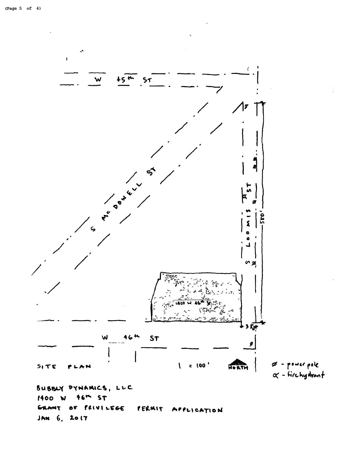

PRIVILEGE Ex MT 6F PERMIT APPLICATION JAN 6, 2017